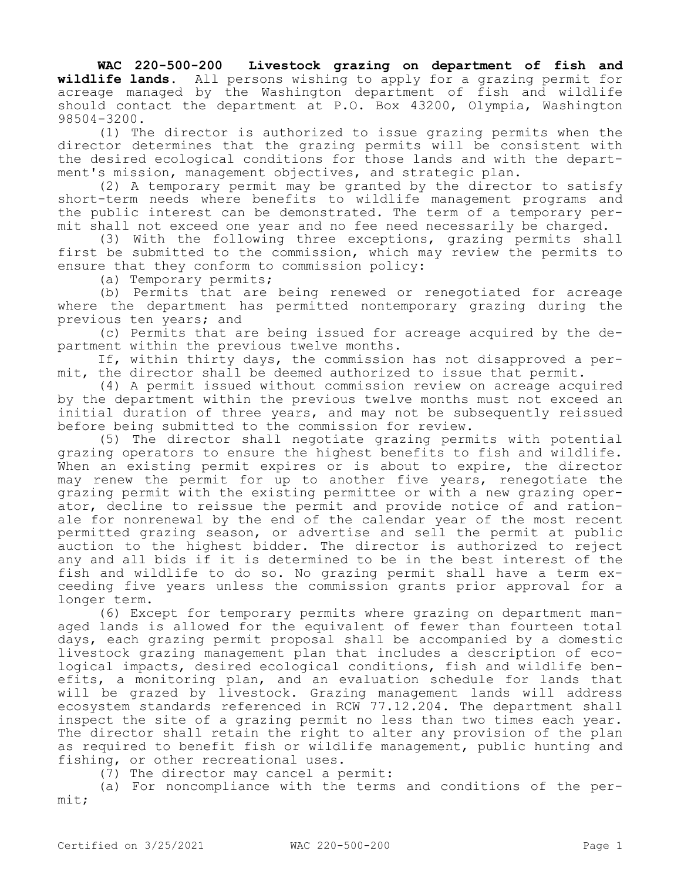**WAC 220-500-200 Livestock grazing on department of fish and wildlife lands.** All persons wishing to apply for a grazing permit for acreage managed by the Washington department of fish and wildlife should contact the department at P.O. Box 43200, Olympia, Washington 98504-3200.

(1) The director is authorized to issue grazing permits when the director determines that the grazing permits will be consistent with the desired ecological conditions for those lands and with the department's mission, management objectives, and strategic plan.

(2) A temporary permit may be granted by the director to satisfy short-term needs where benefits to wildlife management programs and the public interest can be demonstrated. The term of a temporary permit shall not exceed one year and no fee need necessarily be charged.

(3) With the following three exceptions, grazing permits shall first be submitted to the commission, which may review the permits to ensure that they conform to commission policy:

(a) Temporary permits;

(b) Permits that are being renewed or renegotiated for acreage where the department has permitted nontemporary grazing during the previous ten years; and

(c) Permits that are being issued for acreage acquired by the department within the previous twelve months.

If, within thirty days, the commission has not disapproved a permit, the director shall be deemed authorized to issue that permit.

(4) A permit issued without commission review on acreage acquired by the department within the previous twelve months must not exceed an initial duration of three years, and may not be subsequently reissued before being submitted to the commission for review.

(5) The director shall negotiate grazing permits with potential grazing operators to ensure the highest benefits to fish and wildlife. When an existing permit expires or is about to expire, the director may renew the permit for up to another five years, renegotiate the grazing permit with the existing permittee or with a new grazing operator, decline to reissue the permit and provide notice of and rationale for nonrenewal by the end of the calendar year of the most recent permitted grazing season, or advertise and sell the permit at public auction to the highest bidder. The director is authorized to reject any and all bids if it is determined to be in the best interest of the fish and wildlife to do so. No grazing permit shall have a term exceeding five years unless the commission grants prior approval for a longer term.

(6) Except for temporary permits where grazing on department managed lands is allowed for the equivalent of fewer than fourteen total days, each grazing permit proposal shall be accompanied by a domestic livestock grazing management plan that includes a description of ecological impacts, desired ecological conditions, fish and wildlife benefits, a monitoring plan, and an evaluation schedule for lands that will be grazed by livestock. Grazing management lands will address ecosystem standards referenced in RCW 77.12.204. The department shall inspect the site of a grazing permit no less than two times each year. The director shall retain the right to alter any provision of the plan as required to benefit fish or wildlife management, public hunting and fishing, or other recreational uses.

(7) The director may cancel a permit:

(a) For noncompliance with the terms and conditions of the permit;